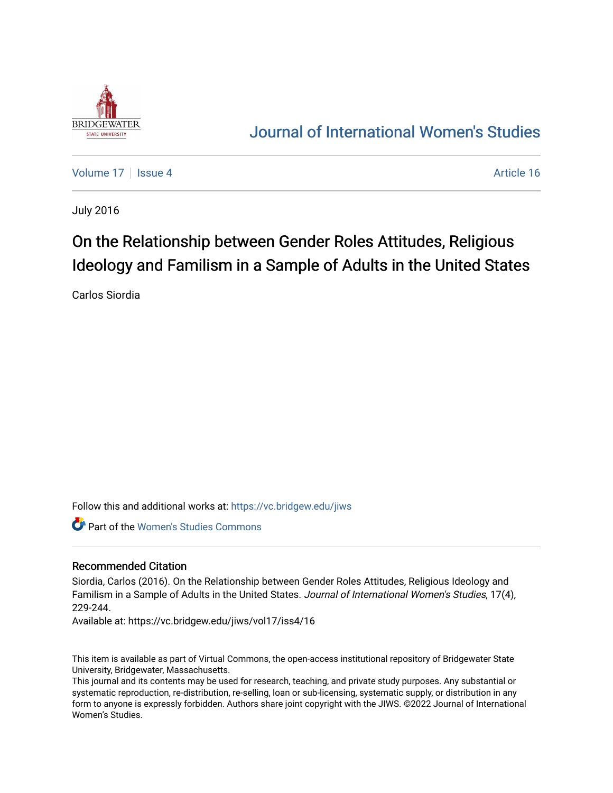

## [Journal of International Women's Studies](https://vc.bridgew.edu/jiws)

[Volume 17](https://vc.bridgew.edu/jiws/vol17) | [Issue 4](https://vc.bridgew.edu/jiws/vol17/iss4) Article 16

July 2016

# On the Relationship between Gender Roles Attitudes, Religious Ideology and Familism in a Sample of Adults in the United States

Carlos Siordia

Follow this and additional works at: [https://vc.bridgew.edu/jiws](https://vc.bridgew.edu/jiws?utm_source=vc.bridgew.edu%2Fjiws%2Fvol17%2Fiss4%2F16&utm_medium=PDF&utm_campaign=PDFCoverPages)

Part of the [Women's Studies Commons](http://network.bepress.com/hgg/discipline/561?utm_source=vc.bridgew.edu%2Fjiws%2Fvol17%2Fiss4%2F16&utm_medium=PDF&utm_campaign=PDFCoverPages) 

#### Recommended Citation

Siordia, Carlos (2016). On the Relationship between Gender Roles Attitudes, Religious Ideology and Familism in a Sample of Adults in the United States. Journal of International Women's Studies, 17(4), 229-244.

Available at: https://vc.bridgew.edu/jiws/vol17/iss4/16

This item is available as part of Virtual Commons, the open-access institutional repository of Bridgewater State University, Bridgewater, Massachusetts.

This journal and its contents may be used for research, teaching, and private study purposes. Any substantial or systematic reproduction, re-distribution, re-selling, loan or sub-licensing, systematic supply, or distribution in any form to anyone is expressly forbidden. Authors share joint copyright with the JIWS. ©2022 Journal of International Women's Studies.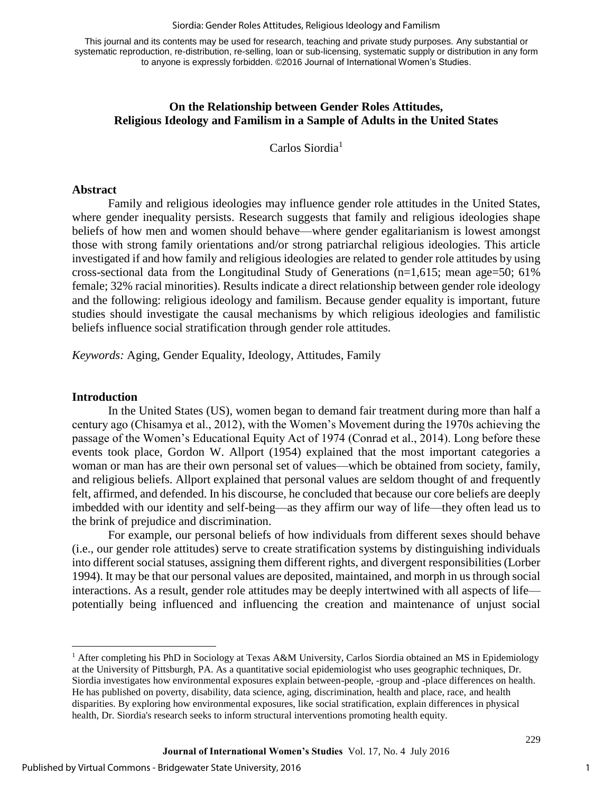#### Siordia: Gender Roles Attitudes, Religious Ideology and Familism

This journal and its contents may be used for research, teaching and private study purposes. Any substantial or systematic reproduction, re-distribution, re-selling, loan or sub-licensing, systematic supply or distribution in any form to anyone is expressly forbidden. ©2016 Journal of International Women's Studies.

## **On the Relationship between Gender Roles Attitudes, Religious Ideology and Familism in a Sample of Adults in the United States**

Carlos Siordia<sup>1</sup>

#### **Abstract**

 Family and religious ideologies may influence gender role attitudes in the United States, where gender inequality persists. Research suggests that family and religious ideologies shape beliefs of how men and women should behave—where gender egalitarianism is lowest amongst those with strong family orientations and/or strong patriarchal religious ideologies. This article investigated if and how family and religious ideologies are related to gender role attitudes by using cross-sectional data from the Longitudinal Study of Generations ( $n=1,615$ ; mean age=50; 61%) female; 32% racial minorities). Results indicate a direct relationship between gender role ideology and the following: religious ideology and familism. Because gender equality is important, future studies should investigate the causal mechanisms by which religious ideologies and familistic beliefs influence social stratification through gender role attitudes.

*Keywords:* Aging, Gender Equality, Ideology, Attitudes, Family

#### **Introduction**

l

In the United States (US), women began to demand fair treatment during more than half a century ago (Chisamya et al., 2012), with the Women's Movement during the 1970s achieving the passage of the Women's Educational Equity Act of 1974 (Conrad et al., 2014). Long before these events took place, Gordon W. Allport (1954) explained that the most important categories a woman or man has are their own personal set of values—which be obtained from society, family, and religious beliefs. Allport explained that personal values are seldom thought of and frequently felt, affirmed, and defended. In his discourse, he concluded that because our core beliefs are deeply imbedded with our identity and self-being—as they affirm our way of life—they often lead us to the brink of prejudice and discrimination.

For example, our personal beliefs of how individuals from different sexes should behave (i.e., our gender role attitudes) serve to create stratification systems by distinguishing individuals into different social statuses, assigning them different rights, and divergent responsibilities (Lorber 1994). It may be that our personal values are deposited, maintained, and morph in us through social interactions. As a result, gender role attitudes may be deeply intertwined with all aspects of life potentially being influenced and influencing the creation and maintenance of unjust social

1

<sup>&</sup>lt;sup>1</sup> After completing his PhD in Sociology at Texas A&M University, Carlos Siordia obtained an MS in Epidemiology at the University of Pittsburgh, PA. As a quantitative social epidemiologist who uses geographic techniques, Dr. Siordia investigates how environmental exposures explain between-people, -group and -place differences on health. He has published on poverty, disability, data science, aging, discrimination, health and place, race, and health disparities. By exploring how environmental exposures, like social stratification, explain differences in physical health, Dr. Siordia's research seeks to inform structural interventions promoting health equity.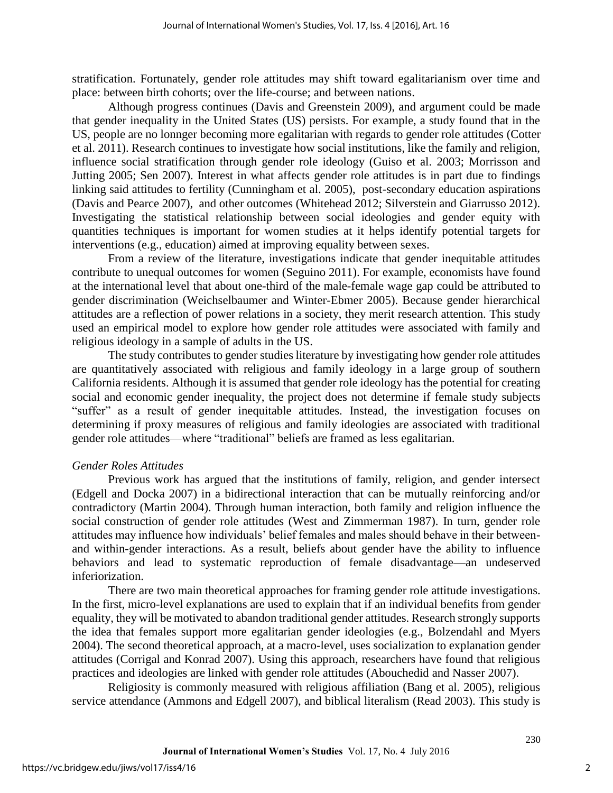stratification. Fortunately, gender role attitudes may shift toward egalitarianism over time and place: between birth cohorts; over the life-course; and between nations.

Although progress continues (Davis and Greenstein 2009), and argument could be made that gender inequality in the United States (US) persists. For example, a study found that in the US, people are no lonnger becoming more egalitarian with regards to gender role attitudes (Cotter et al. 2011). Research continues to investigate how social institutions, like the family and religion, influence social stratification through gender role ideology (Guiso et al. 2003; Morrisson and Jutting 2005; Sen 2007). Interest in what affects gender role attitudes is in part due to findings linking said attitudes to fertility (Cunningham et al. 2005), post-secondary education aspirations (Davis and Pearce 2007), and other outcomes (Whitehead 2012; Silverstein and Giarrusso 2012). Investigating the statistical relationship between social ideologies and gender equity with quantities techniques is important for women studies at it helps identify potential targets for interventions (e.g., education) aimed at improving equality between sexes.

From a review of the literature, investigations indicate that gender inequitable attitudes contribute to unequal outcomes for women (Seguino 2011). For example, economists have found at the international level that about one-third of the male-female wage gap could be attributed to gender discrimination (Weichselbaumer and Winter-Ebmer 2005). Because gender hierarchical attitudes are a reflection of power relations in a society, they merit research attention. This study used an empirical model to explore how gender role attitudes were associated with family and religious ideology in a sample of adults in the US.

The study contributes to gender studies literature by investigating how gender role attitudes are quantitatively associated with religious and family ideology in a large group of southern California residents. Although it is assumed that gender role ideology has the potential for creating social and economic gender inequality, the project does not determine if female study subjects "suffer" as a result of gender inequitable attitudes. Instead, the investigation focuses on determining if proxy measures of religious and family ideologies are associated with traditional gender role attitudes—where "traditional" beliefs are framed as less egalitarian.

## *Gender Roles Attitudes*

Previous work has argued that the institutions of family, religion, and gender intersect (Edgell and Docka 2007) in a bidirectional interaction that can be mutually reinforcing and/or contradictory (Martin 2004). Through human interaction, both family and religion influence the social construction of gender role attitudes (West and Zimmerman 1987). In turn, gender role attitudes may influence how individuals' belief females and males should behave in their betweenand within-gender interactions. As a result, beliefs about gender have the ability to influence behaviors and lead to systematic reproduction of female disadvantage—an undeserved inferiorization.

There are two main theoretical approaches for framing gender role attitude investigations. In the first, micro-level explanations are used to explain that if an individual benefits from gender equality, they will be motivated to abandon traditional gender attitudes. Research strongly supports the idea that females support more egalitarian gender ideologies (e.g., Bolzendahl and Myers 2004). The second theoretical approach, at a macro-level, uses socialization to explanation gender attitudes (Corrigal and Konrad 2007). Using this approach, researchers have found that religious practices and ideologies are linked with gender role attitudes (Abouchedid and Nasser 2007).

Religiosity is commonly measured with religious affiliation (Bang et al. 2005), religious service attendance (Ammons and Edgell 2007), and biblical literalism (Read 2003). This study is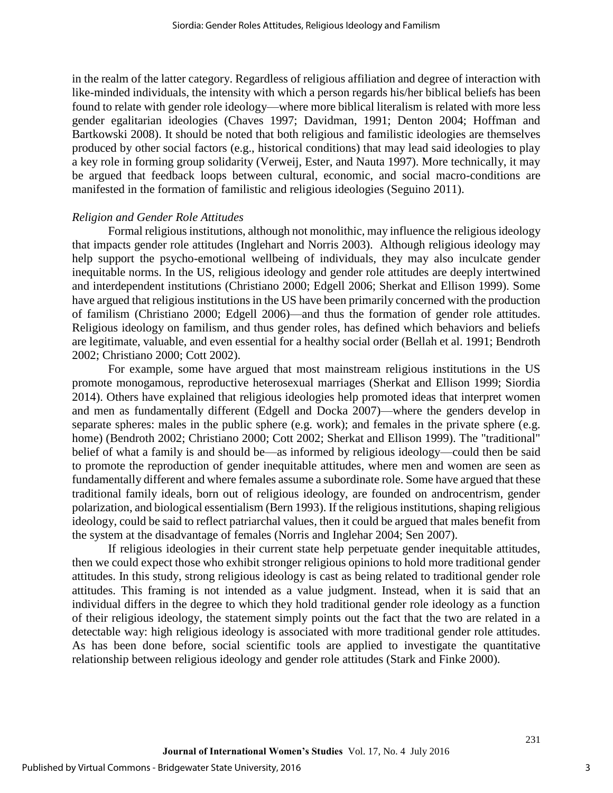in the realm of the latter category. Regardless of religious affiliation and degree of interaction with like-minded individuals, the intensity with which a person regards his/her biblical beliefs has been found to relate with gender role ideology—where more biblical literalism is related with more less gender egalitarian ideologies (Chaves 1997; Davidman, 1991; Denton 2004; Hoffman and Bartkowski 2008). It should be noted that both religious and familistic ideologies are themselves produced by other social factors (e.g., historical conditions) that may lead said ideologies to play a key role in forming group solidarity (Verweij, Ester, and Nauta 1997). More technically, it may be argued that feedback loops between cultural, economic, and social macro-conditions are manifested in the formation of familistic and religious ideologies (Seguino 2011).

#### *Religion and Gender Role Attitudes*

Formal religious institutions, although not monolithic, may influence the religious ideology that impacts gender role attitudes (Inglehart and Norris 2003). Although religious ideology may help support the psycho-emotional wellbeing of individuals, they may also inculcate gender inequitable norms. In the US, religious ideology and gender role attitudes are deeply intertwined and interdependent institutions (Christiano 2000; Edgell 2006; Sherkat and Ellison 1999). Some have argued that religious institutions in the US have been primarily concerned with the production of familism (Christiano 2000; Edgell 2006)—and thus the formation of gender role attitudes. Religious ideology on familism, and thus gender roles, has defined which behaviors and beliefs are legitimate, valuable, and even essential for a healthy social order (Bellah et al. 1991; Bendroth 2002; Christiano 2000; Cott 2002).

For example, some have argued that most mainstream religious institutions in the US promote monogamous, reproductive heterosexual marriages (Sherkat and Ellison 1999; Siordia 2014). Others have explained that religious ideologies help promoted ideas that interpret women and men as fundamentally different (Edgell and Docka 2007)—where the genders develop in separate spheres: males in the public sphere (e.g. work); and females in the private sphere (e.g. home) (Bendroth 2002; Christiano 2000; Cott 2002; Sherkat and Ellison 1999). The "traditional" belief of what a family is and should be—as informed by religious ideology—could then be said to promote the reproduction of gender inequitable attitudes, where men and women are seen as fundamentally different and where females assume a subordinate role. Some have argued that these traditional family ideals, born out of religious ideology, are founded on androcentrism, gender polarization, and biological essentialism (Bern 1993). If the religious institutions, shaping religious ideology, could be said to reflect patriarchal values, then it could be argued that males benefit from the system at the disadvantage of females (Norris and Inglehar 2004; Sen 2007).

If religious ideologies in their current state help perpetuate gender inequitable attitudes, then we could expect those who exhibit stronger religious opinions to hold more traditional gender attitudes. In this study, strong religious ideology is cast as being related to traditional gender role attitudes. This framing is not intended as a value judgment. Instead, when it is said that an individual differs in the degree to which they hold traditional gender role ideology as a function of their religious ideology, the statement simply points out the fact that the two are related in a detectable way: high religious ideology is associated with more traditional gender role attitudes. As has been done before, social scientific tools are applied to investigate the quantitative relationship between religious ideology and gender role attitudes (Stark and Finke 2000).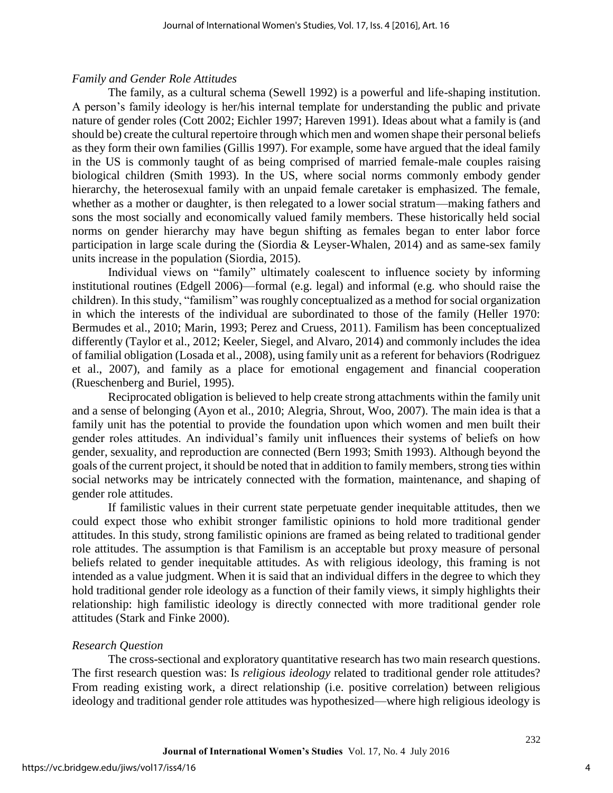### *Family and Gender Role Attitudes*

The family, as a cultural schema (Sewell 1992) is a powerful and life-shaping institution. A person's family ideology is her/his internal template for understanding the public and private nature of gender roles (Cott 2002; Eichler 1997; Hareven 1991). Ideas about what a family is (and should be) create the cultural repertoire through which men and women shape their personal beliefs as they form their own families (Gillis 1997). For example, some have argued that the ideal family in the US is commonly taught of as being comprised of married female-male couples raising biological children (Smith 1993). In the US, where social norms commonly embody gender hierarchy, the heterosexual family with an unpaid female caretaker is emphasized. The female, whether as a mother or daughter, is then relegated to a lower social stratum—making fathers and sons the most socially and economically valued family members. These historically held social norms on gender hierarchy may have begun shifting as females began to enter labor force participation in large scale during the (Siordia & Leyser-Whalen, 2014) and as same-sex family units increase in the population (Siordia, 2015).

Individual views on "family" ultimately coalescent to influence society by informing institutional routines (Edgell 2006)—formal (e.g. legal) and informal (e.g. who should raise the children). In this study, "familism" was roughly conceptualized as a method for social organization in which the interests of the individual are subordinated to those of the family (Heller 1970: Bermudes et al., 2010; Marin, 1993; Perez and Cruess, 2011). Familism has been conceptualized differently (Taylor et al., 2012; Keeler, Siegel, and Alvaro, 2014) and commonly includes the idea of familial obligation (Losada et al., 2008), using family unit as a referent for behaviors (Rodriguez et al., 2007), and family as a place for emotional engagement and financial cooperation (Rueschenberg and Buriel, 1995).

Reciprocated obligation is believed to help create strong attachments within the family unit and a sense of belonging (Ayon et al., 2010; Alegria, Shrout, Woo, 2007). The main idea is that a family unit has the potential to provide the foundation upon which women and men built their gender roles attitudes. An individual's family unit influences their systems of beliefs on how gender, sexuality, and reproduction are connected (Bern 1993; Smith 1993). Although beyond the goals of the current project, it should be noted that in addition to family members, strong ties within social networks may be intricately connected with the formation, maintenance, and shaping of gender role attitudes.

If familistic values in their current state perpetuate gender inequitable attitudes, then we could expect those who exhibit stronger familistic opinions to hold more traditional gender attitudes. In this study, strong familistic opinions are framed as being related to traditional gender role attitudes. The assumption is that Familism is an acceptable but proxy measure of personal beliefs related to gender inequitable attitudes. As with religious ideology, this framing is not intended as a value judgment. When it is said that an individual differs in the degree to which they hold traditional gender role ideology as a function of their family views, it simply highlights their relationship: high familistic ideology is directly connected with more traditional gender role attitudes (Stark and Finke 2000).

## *Research Question*

The cross-sectional and exploratory quantitative research has two main research questions. The first research question was: Is *religious ideology* related to traditional gender role attitudes? From reading existing work, a direct relationship (i.e. positive correlation) between religious ideology and traditional gender role attitudes was hypothesized—where high religious ideology is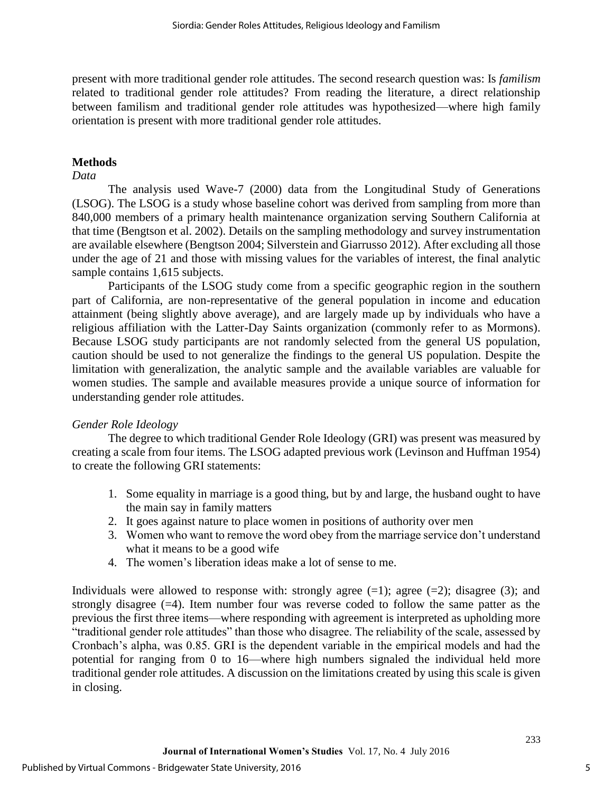present with more traditional gender role attitudes. The second research question was: Is *familism*  related to traditional gender role attitudes? From reading the literature, a direct relationship between familism and traditional gender role attitudes was hypothesized—where high family orientation is present with more traditional gender role attitudes.

## **Methods**

#### *Data*

The analysis used Wave-7 (2000) data from the Longitudinal Study of Generations (LSOG). The LSOG is a study whose baseline cohort was derived from sampling from more than 840,000 members of a primary health maintenance organization serving Southern California at that time (Bengtson et al. 2002). Details on the sampling methodology and survey instrumentation are available elsewhere (Bengtson 2004; Silverstein and Giarrusso 2012). After excluding all those under the age of 21 and those with missing values for the variables of interest, the final analytic sample contains 1,615 subjects.

Participants of the LSOG study come from a specific geographic region in the southern part of California, are non-representative of the general population in income and education attainment (being slightly above average), and are largely made up by individuals who have a religious affiliation with the Latter-Day Saints organization (commonly refer to as Mormons). Because LSOG study participants are not randomly selected from the general US population, caution should be used to not generalize the findings to the general US population. Despite the limitation with generalization, the analytic sample and the available variables are valuable for women studies. The sample and available measures provide a unique source of information for understanding gender role attitudes.

#### *Gender Role Ideology*

The degree to which traditional Gender Role Ideology (GRI) was present was measured by creating a scale from four items. The LSOG adapted previous work (Levinson and Huffman 1954) to create the following GRI statements:

- 1. Some equality in marriage is a good thing, but by and large, the husband ought to have the main say in family matters
- 2. It goes against nature to place women in positions of authority over men
- 3. Women who want to remove the word obey from the marriage service don't understand what it means to be a good wife
- 4. The women's liberation ideas make a lot of sense to me.

Individuals were allowed to response with: strongly agree  $(=1)$ ; agree  $(=2)$ ; disagree  $(3)$ ; and strongly disagree (=4). Item number four was reverse coded to follow the same patter as the previous the first three items—where responding with agreement is interpreted as upholding more "traditional gender role attitudes" than those who disagree. The reliability of the scale, assessed by Cronbach's alpha, was 0.85. GRI is the dependent variable in the empirical models and had the potential for ranging from 0 to 16—where high numbers signaled the individual held more traditional gender role attitudes. A discussion on the limitations created by using this scale is given in closing.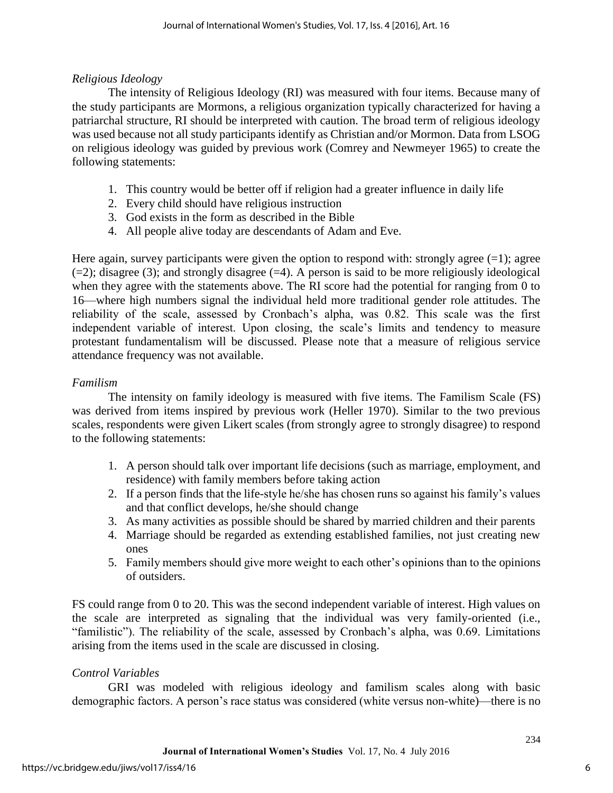## *Religious Ideology*

The intensity of Religious Ideology (RI) was measured with four items. Because many of the study participants are Mormons, a religious organization typically characterized for having a patriarchal structure, RI should be interpreted with caution. The broad term of religious ideology was used because not all study participants identify as Christian and/or Mormon. Data from LSOG on religious ideology was guided by previous work (Comrey and Newmeyer 1965) to create the following statements:

- 1. This country would be better off if religion had a greater influence in daily life
- 2. Every child should have religious instruction
- 3. God exists in the form as described in the Bible
- 4. All people alive today are descendants of Adam and Eve.

Here again, survey participants were given the option to respond with: strongly agree  $(=1)$ ; agree  $(=2)$ ; disagree (3); and strongly disagree  $(=4)$ . A person is said to be more religiously ideological when they agree with the statements above. The RI score had the potential for ranging from 0 to 16—where high numbers signal the individual held more traditional gender role attitudes. The reliability of the scale, assessed by Cronbach's alpha, was 0.82. This scale was the first independent variable of interest. Upon closing, the scale's limits and tendency to measure protestant fundamentalism will be discussed. Please note that a measure of religious service attendance frequency was not available.

## *Familism*

The intensity on family ideology is measured with five items. The Familism Scale (FS) was derived from items inspired by previous work (Heller 1970). Similar to the two previous scales, respondents were given Likert scales (from strongly agree to strongly disagree) to respond to the following statements:

- 1. A person should talk over important life decisions (such as marriage, employment, and residence) with family members before taking action
- 2. If a person finds that the life-style he/she has chosen runs so against his family's values and that conflict develops, he/she should change
- 3. As many activities as possible should be shared by married children and their parents
- 4. Marriage should be regarded as extending established families, not just creating new ones
- 5. Family members should give more weight to each other's opinions than to the opinions of outsiders.

FS could range from 0 to 20. This was the second independent variable of interest. High values on the scale are interpreted as signaling that the individual was very family-oriented (i.e., "familistic"). The reliability of the scale, assessed by Cronbach's alpha, was 0.69. Limitations arising from the items used in the scale are discussed in closing.

## *Control Variables*

 GRI was modeled with religious ideology and familism scales along with basic demographic factors. A person's race status was considered (white versus non-white)—there is no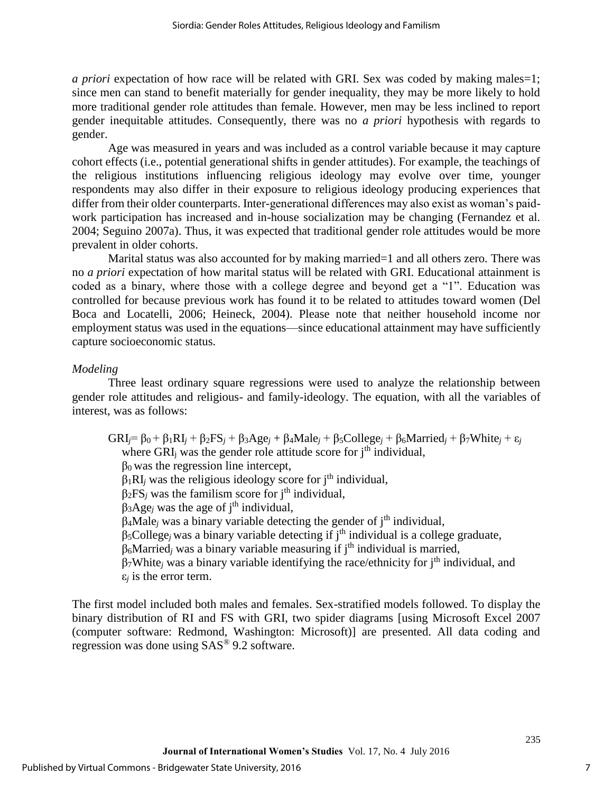*a priori* expectation of how race will be related with GRI. Sex was coded by making males=1; since men can stand to benefit materially for gender inequality, they may be more likely to hold more traditional gender role attitudes than female. However, men may be less inclined to report gender inequitable attitudes. Consequently, there was no *a priori* hypothesis with regards to gender.

Age was measured in years and was included as a control variable because it may capture cohort effects (i.e., potential generational shifts in gender attitudes). For example, the teachings of the religious institutions influencing religious ideology may evolve over time, younger respondents may also differ in their exposure to religious ideology producing experiences that differ from their older counterparts. Inter-generational differences may also exist as woman's paidwork participation has increased and in-house socialization may be changing (Fernandez et al. 2004; Seguino 2007a). Thus, it was expected that traditional gender role attitudes would be more prevalent in older cohorts.

Marital status was also accounted for by making married=1 and all others zero. There was no *a priori* expectation of how marital status will be related with GRI. Educational attainment is coded as a binary, where those with a college degree and beyond get a "1". Education was controlled for because previous work has found it to be related to attitudes toward women (Del Boca and Locatelli, 2006; Heineck, 2004). Please note that neither household income nor employment status was used in the equations—since educational attainment may have sufficiently capture socioeconomic status.

### *Modeling*

 Three least ordinary square regressions were used to analyze the relationship between gender role attitudes and religious- and family-ideology. The equation, with all the variables of interest, was as follows:

 $GRI = \beta_0 + \beta_1RI_i + \beta_2FS_i + \beta_3Age_i + \beta_4Male_i + \beta_5 College_i + \beta_6Married_i + \beta_7White_i + \epsilon_i$ where GRI<sub>i</sub> was the gender role attitude score for  $i<sup>th</sup>$  individual,  $β<sub>0</sub>$  was the regression line intercept,  $\beta_1RI_i$  was the religious ideology score for j<sup>th</sup> individual,  $\beta_2$ FS<sub>*j*</sub> was the familism score for j<sup>th</sup> individual,  $\beta_3$ Age<sub>*j*</sub> was the age of j<sup>th</sup> individual,  $\beta_4$ Male<sub>*j*</sub> was a binary variable detecting the gender of j<sup>th</sup> individual, β5College*j* was a binary variable detecting if jth individual is a college graduate, β6Married*<sup>j</sup>* was a binary variable measuring if jth individual is married,  $\beta_7$ White<sub>*i*</sub> was a binary variable identifying the race/ethnicity for j<sup>th</sup> individual, and  $\varepsilon$ *<sub>i</sub>* is the error term.

The first model included both males and females. Sex-stratified models followed. To display the binary distribution of RI and FS with GRI, two spider diagrams [using Microsoft Excel 2007 (computer software: Redmond, Washington: Microsoft)] are presented. All data coding and regression was done using SAS® 9.2 software.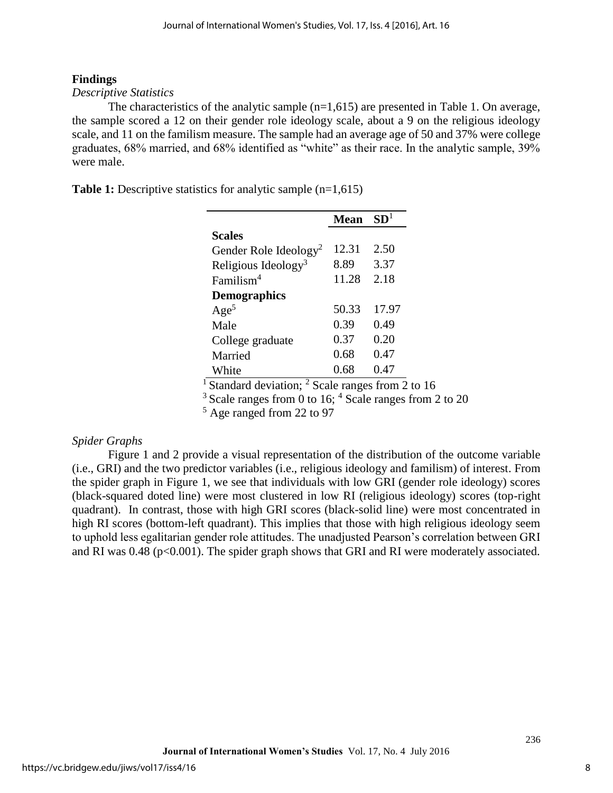## **Findings**

### *Descriptive Statistics*

The characteristics of the analytic sample  $(n=1,615)$  are presented in Table 1. On average, the sample scored a 12 on their gender role ideology scale, about a 9 on the religious ideology scale, and 11 on the familism measure. The sample had an average age of 50 and 37% were college graduates, 68% married, and 68% identified as "white" as their race. In the analytic sample, 39% were male.

**Table 1:** Descriptive statistics for analytic sample (n=1,615)

|                                   | <b>Mean</b> | SD <sup>1</sup> |
|-----------------------------------|-------------|-----------------|
| <b>Scales</b>                     |             |                 |
| Gender Role Ideology <sup>2</sup> | 12.31       | 2.50            |
| Religious Ideology <sup>3</sup>   | 8.89        | 3.37            |
| Familism <sup>4</sup>             | 11.28       | 2.18            |
| <b>Demographics</b>               |             |                 |
| Age <sup>5</sup>                  | 50.33       | 17.97           |
| Male                              | 0.39        | 0.49            |
| College graduate                  | 0.37        | 0.20            |
| Married                           | 0.68        | 0.47            |
| White                             | 0.68        | 0.47            |

<sup>1</sup> Standard deviation; <sup>2</sup> Scale ranges from 2 to 16

 $3$  Scale ranges from 0 to 16:  $4$  Scale ranges from 2 to 20

<sup>5</sup> Age ranged from 22 to 97

## *Spider Graphs*

Figure 1 and 2 provide a visual representation of the distribution of the outcome variable (i.e., GRI) and the two predictor variables (i.e., religious ideology and familism) of interest. From the spider graph in Figure 1, we see that individuals with low GRI (gender role ideology) scores (black-squared doted line) were most clustered in low RI (religious ideology) scores (top-right quadrant). In contrast, those with high GRI scores (black-solid line) were most concentrated in high RI scores (bottom-left quadrant). This implies that those with high religious ideology seem to uphold less egalitarian gender role attitudes. The unadjusted Pearson's correlation between GRI and RI was  $0.48$  ( $p<0.001$ ). The spider graph shows that GRI and RI were moderately associated.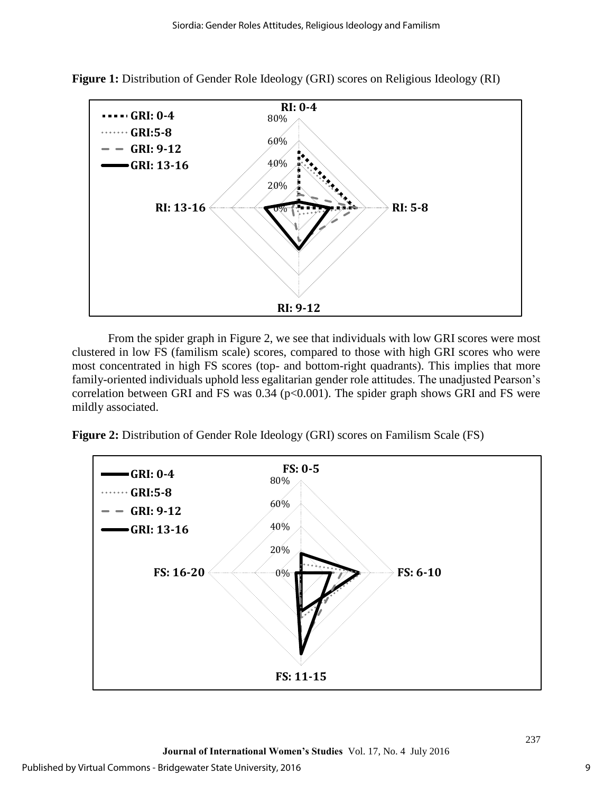

**Figure 1:** Distribution of Gender Role Ideology (GRI) scores on Religious Ideology (RI)

From the spider graph in Figure 2, we see that individuals with low GRI scores were most clustered in low FS (familism scale) scores, compared to those with high GRI scores who were most concentrated in high FS scores (top- and bottom-right quadrants). This implies that more family-oriented individuals uphold less egalitarian gender role attitudes. The unadjusted Pearson's correlation between GRI and FS was  $0.34$  (p<0.001). The spider graph shows GRI and FS were mildly associated.

**Figure 2:** Distribution of Gender Role Ideology (GRI) scores on Familism Scale (FS)

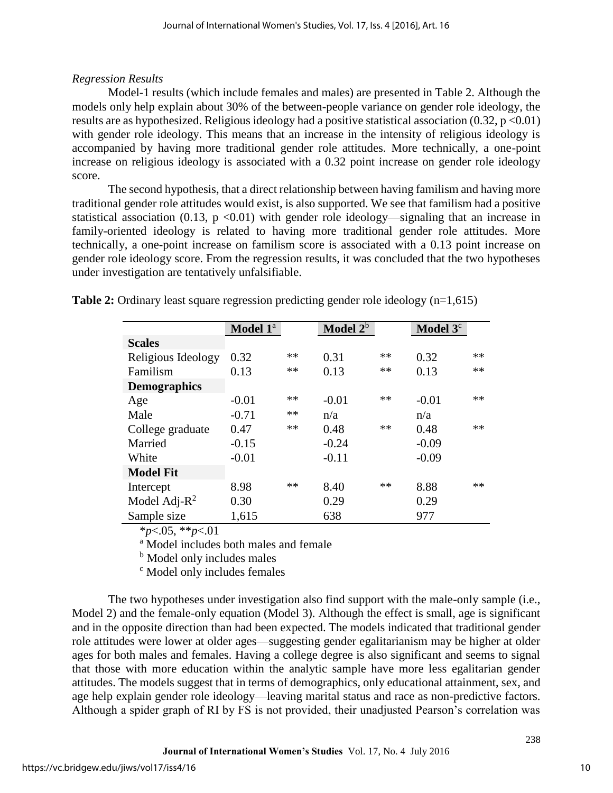## *Regression Results*

Model-1 results (which include females and males) are presented in Table 2. Although the models only help explain about 30% of the between-people variance on gender role ideology, the results are as hypothesized. Religious ideology had a positive statistical association  $(0.32, p < 0.01)$ with gender role ideology. This means that an increase in the intensity of religious ideology is accompanied by having more traditional gender role attitudes. More technically, a one-point increase on religious ideology is associated with a 0.32 point increase on gender role ideology score.

The second hypothesis, that a direct relationship between having familism and having more traditional gender role attitudes would exist, is also supported. We see that familism had a positive statistical association (0.13,  $p \le 0.01$ ) with gender role ideology—signaling that an increase in family-oriented ideology is related to having more traditional gender role attitudes. More technically, a one-point increase on familism score is associated with a 0.13 point increase on gender role ideology score. From the regression results, it was concluded that the two hypotheses under investigation are tentatively unfalsifiable.

**Table 2:** Ordinary least square regression predicting gender role ideology (n=1,615)

|                     | Model 1 <sup>a</sup> |            | Model $2^b$ |      | Model $3c$ |    |
|---------------------|----------------------|------------|-------------|------|------------|----|
| <b>Scales</b>       |                      |            |             |      |            |    |
| Religious Ideology  | 0.32                 | $\ast\ast$ | 0.31        | **   | 0.32       | ** |
| Familism            | 0.13                 | $\ast\ast$ | 0.13        | $**$ | 0.13       | ** |
| <b>Demographics</b> |                      |            |             |      |            |    |
| Age                 | $-0.01$              | **         | $-0.01$     | $**$ | $-0.01$    | ** |
| Male                | $-0.71$              | $\ast\ast$ | n/a         |      | n/a        |    |
| College graduate    | 0.47                 | $**$       | 0.48        | **   | 0.48       | ** |
| Married             | $-0.15$              |            | $-0.24$     |      | $-0.09$    |    |
| White               | $-0.01$              |            | $-0.11$     |      | $-0.09$    |    |
| <b>Model Fit</b>    |                      |            |             |      |            |    |
| Intercept           | 8.98                 | $**$       | 8.40        | $**$ | 8.88       | ** |
| Model Adj- $R^2$    | 0.30                 |            | 0.29        |      | 0.29       |    |
| Sample size         | 1,615                |            | 638         |      | 977        |    |

\**p*<.05, \*\**p*<.01

<sup>a</sup> Model includes both males and female

<sup>b</sup> Model only includes males

<sup>c</sup> Model only includes females

The two hypotheses under investigation also find support with the male-only sample (i.e., Model 2) and the female-only equation (Model 3). Although the effect is small, age is significant and in the opposite direction than had been expected. The models indicated that traditional gender role attitudes were lower at older ages—suggesting gender egalitarianism may be higher at older ages for both males and females. Having a college degree is also significant and seems to signal that those with more education within the analytic sample have more less egalitarian gender attitudes. The models suggest that in terms of demographics, only educational attainment, sex, and age help explain gender role ideology—leaving marital status and race as non-predictive factors. Although a spider graph of RI by FS is not provided, their unadjusted Pearson's correlation was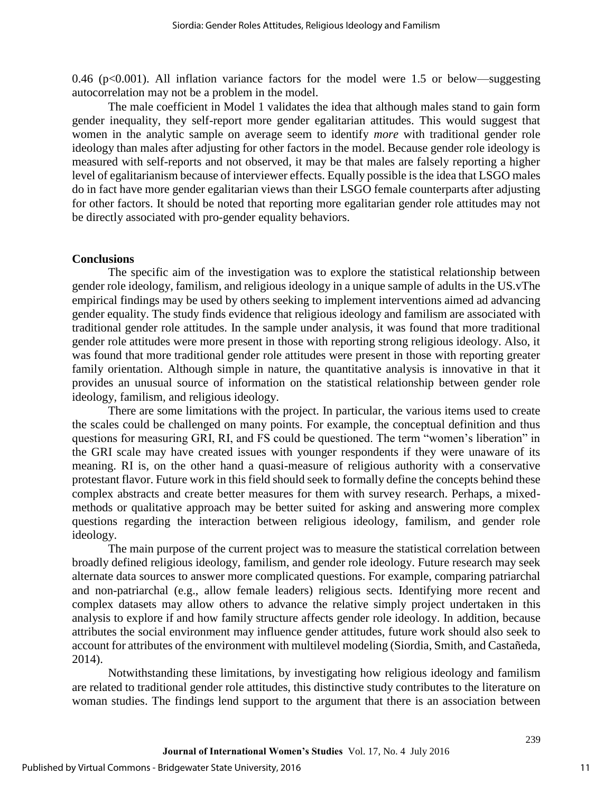0.46 ( $p \le 0.001$ ). All inflation variance factors for the model were 1.5 or below—suggesting autocorrelation may not be a problem in the model.

The male coefficient in Model 1 validates the idea that although males stand to gain form gender inequality, they self-report more gender egalitarian attitudes. This would suggest that women in the analytic sample on average seem to identify *more* with traditional gender role ideology than males after adjusting for other factors in the model. Because gender role ideology is measured with self-reports and not observed, it may be that males are falsely reporting a higher level of egalitarianism because of interviewer effects. Equally possible is the idea that LSGO males do in fact have more gender egalitarian views than their LSGO female counterparts after adjusting for other factors. It should be noted that reporting more egalitarian gender role attitudes may not be directly associated with pro-gender equality behaviors.

#### **Conclusions**

The specific aim of the investigation was to explore the statistical relationship between gender role ideology, familism, and religious ideology in a unique sample of adults in the US.vThe empirical findings may be used by others seeking to implement interventions aimed ad advancing gender equality. The study finds evidence that religious ideology and familism are associated with traditional gender role attitudes. In the sample under analysis, it was found that more traditional gender role attitudes were more present in those with reporting strong religious ideology. Also, it was found that more traditional gender role attitudes were present in those with reporting greater family orientation. Although simple in nature, the quantitative analysis is innovative in that it provides an unusual source of information on the statistical relationship between gender role ideology, familism, and religious ideology.

There are some limitations with the project. In particular, the various items used to create the scales could be challenged on many points. For example, the conceptual definition and thus questions for measuring GRI, RI, and FS could be questioned. The term "women's liberation" in the GRI scale may have created issues with younger respondents if they were unaware of its meaning. RI is, on the other hand a quasi-measure of religious authority with a conservative protestant flavor. Future work in this field should seek to formally define the concepts behind these complex abstracts and create better measures for them with survey research. Perhaps, a mixedmethods or qualitative approach may be better suited for asking and answering more complex questions regarding the interaction between religious ideology, familism, and gender role ideology.

The main purpose of the current project was to measure the statistical correlation between broadly defined religious ideology, familism, and gender role ideology. Future research may seek alternate data sources to answer more complicated questions. For example, comparing patriarchal and non-patriarchal (e.g., allow female leaders) religious sects. Identifying more recent and complex datasets may allow others to advance the relative simply project undertaken in this analysis to explore if and how family structure affects gender role ideology. In addition, because attributes the social environment may influence gender attitudes, future work should also seek to account for attributes of the environment with multilevel modeling (Siordia, Smith, and Castañeda, 2014).

Notwithstanding these limitations, by investigating how religious ideology and familism are related to traditional gender role attitudes, this distinctive study contributes to the literature on woman studies. The findings lend support to the argument that there is an association between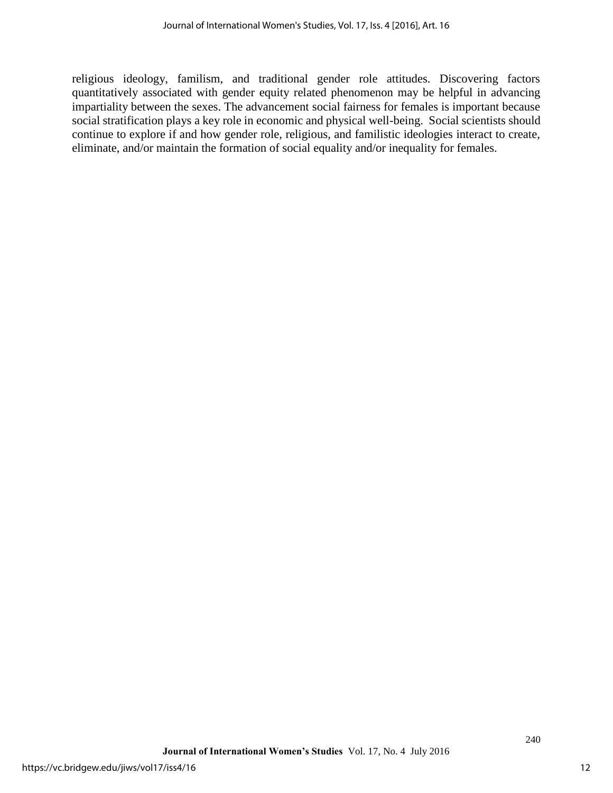religious ideology, familism, and traditional gender role attitudes. Discovering factors quantitatively associated with gender equity related phenomenon may be helpful in advancing impartiality between the sexes. The advancement social fairness for females is important because social stratification plays a key role in economic and physical well-being. Social scientists should continue to explore if and how gender role, religious, and familistic ideologies interact to create, eliminate, and/or maintain the formation of social equality and/or inequality for females.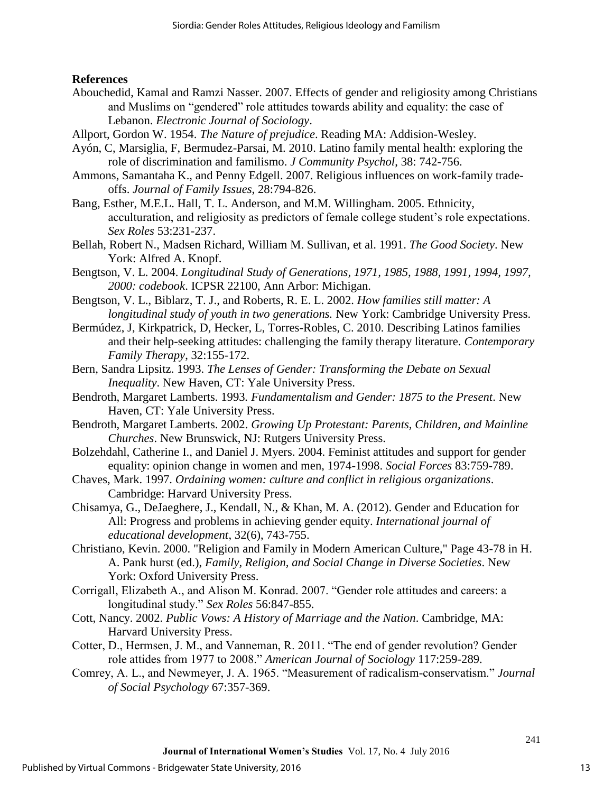## **References**

- Abouchedid, Kamal and Ramzi Nasser. 2007. Effects of gender and religiosity among Christians and Muslims on "gendered" role attitudes towards ability and equality: the case of Lebanon. *Electronic Journal of Sociology*.
- Allport, Gordon W. 1954. *The Nature of prejudice*. Reading MA: Addision-Wesley.
- Ayón, C, Marsiglia, F, Bermudez-Parsai, M. 2010. Latino family mental health: exploring the role of discrimination and familismo. *J Community Psychol*, 38: 742-756.
- Ammons, Samantaha K., and Penny Edgell. 2007. Religious influences on work-family tradeoffs. *Journal of Family Issues*, 28:794-826.
- Bang, Esther, M.E.L. Hall, T. L. Anderson, and M.M. Willingham. 2005. Ethnicity, acculturation, and religiosity as predictors of female college student's role expectations. *Sex Roles* 53:231-237.
- Bellah, Robert N., Madsen Richard, William M. Sullivan, et al. 1991. *The Good Society*. New York: Alfred A. Knopf.
- Bengtson, V. L. 2004. *Longitudinal Study of Generations, 1971, 1985, 1988, 1991, 1994, 1997, 2000: codebook*. ICPSR 22100, Ann Arbor: Michigan.
- Bengtson, V. L., Biblarz, T. J., and Roberts, R. E. L. 2002. *How families still matter: A longitudinal study of youth in two generations.* New York: Cambridge University Press.
- Bermúdez, J, Kirkpatrick, D, Hecker, L, Torres-Robles, C. 2010. Describing Latinos families and their help-seeking attitudes: challenging the family therapy literature. *Contemporary Family Therapy*, 32:155-172.
- Bern, Sandra Lipsitz. 1993. *The Lenses of Gender: Transforming the Debate on Sexual Inequality*. New Haven, CT: Yale University Press.
- Bendroth, Margaret Lamberts. 1993*. Fundamentalism and Gender: 1875 to the Present*. New Haven, CT: Yale University Press.
- Bendroth, Margaret Lamberts. 2002. *Growing Up Protestant: Parents, Children, and Mainline Churches*. New Brunswick, NJ: Rutgers University Press.
- Bolzehdahl, Catherine I., and Daniel J. Myers. 2004. Feminist attitudes and support for gender equality: opinion change in women and men, 1974-1998. *Social Forces* 83:759-789.
- Chaves, Mark. 1997. *Ordaining women: culture and conflict in religious organizations*. Cambridge: Harvard University Press.
- Chisamya, G., DeJaeghere, J., Kendall, N., & Khan, M. A. (2012). Gender and Education for All: Progress and problems in achieving gender equity. *International journal of educational development*, 32(6), 743-755.
- Christiano, Kevin. 2000. "Religion and Family in Modern American Culture," Page 43-78 in H. A. Pank hurst (ed.), *Family, Religion, and Social Change in Diverse Societies*. New York: Oxford University Press.
- Corrigall, Elizabeth A., and Alison M. Konrad. 2007. "Gender role attitudes and careers: a longitudinal study." *Sex Roles* 56:847-855.
- Cott, Nancy. 2002. *Public Vows: A History of Marriage and the Nation*. Cambridge, MA: Harvard University Press.
- Cotter, D., Hermsen, J. M., and Vanneman, R. 2011. "The end of gender revolution? Gender role attides from 1977 to 2008." *American Journal of Sociology* 117:259-289.
- Comrey, A. L., and Newmeyer, J. A. 1965. "Measurement of radicalism-conservatism." *Journal of Social Psychology* 67:357-369.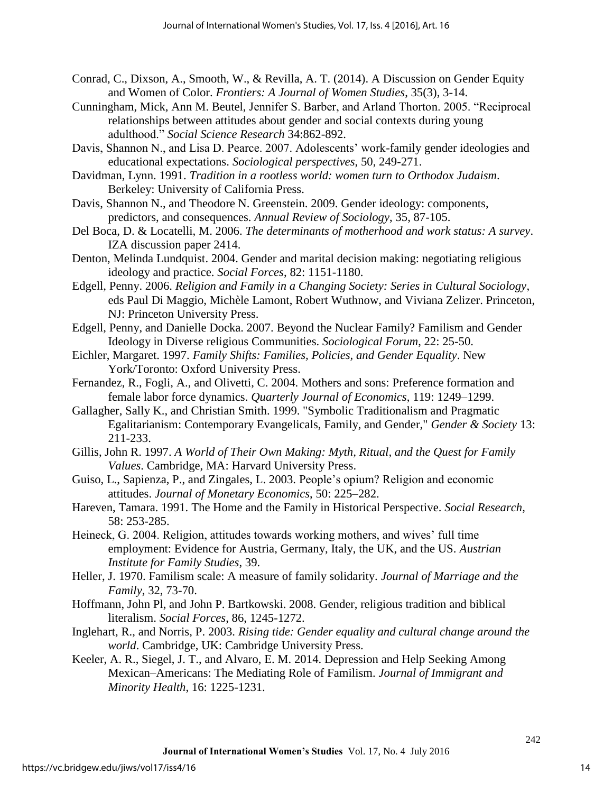- Conrad, C., Dixson, A., Smooth, W., & Revilla, A. T. (2014). A Discussion on Gender Equity and Women of Color. *Frontiers: A Journal of Women Studies*, 35(3), 3-14.
- Cunningham, Mick, Ann M. Beutel, Jennifer S. Barber, and Arland Thorton. 2005. "Reciprocal relationships between attitudes about gender and social contexts during young adulthood." *Social Science Research* 34:862-892.
- Davis, Shannon N., and Lisa D. Pearce. 2007. Adolescents' work-family gender ideologies and educational expectations. *Sociological perspectives*, 50, 249-271.
- Davidman, Lynn. 1991. *Tradition in a rootless world: women turn to Orthodox Judaism*. Berkeley: University of California Press.
- Davis, Shannon N., and Theodore N. Greenstein. 2009. Gender ideology: components, predictors, and consequences. *Annual Review of Sociology*, 35, 87-105.
- Del Boca, D. & Locatelli, M. 2006. *The determinants of motherhood and work status: A survey*. IZA discussion paper 2414.
- Denton, Melinda Lundquist. 2004. Gender and marital decision making: negotiating religious ideology and practice. *Social Forces*, 82: 1151-1180.
- Edgell, Penny. 2006. *Religion and Family in a Changing Society: Series in Cultural Sociology*, eds Paul Di Maggio, Michèle Lamont, Robert Wuthnow, and Viviana Zelizer. Princeton, NJ: Princeton University Press.
- Edgell, Penny, and Danielle Docka. 2007. Beyond the Nuclear Family? Familism and Gender Ideology in Diverse religious Communities. *Sociological Forum*, 22: 25-50.
- Eichler, Margaret. 1997. *Family Shifts: Families, Policies, and Gender Equality*. New York/Toronto: Oxford University Press.
- Fernandez, R., Fogli, A., and Olivetti, C. 2004. Mothers and sons: Preference formation and female labor force dynamics. *Quarterly Journal of Economics*, 119: 1249–1299.
- Gallagher, Sally K., and Christian Smith. 1999. "Symbolic Traditionalism and Pragmatic Egalitarianism: Contemporary Evangelicals, Family, and Gender," *Gender & Society* 13: 211-233.
- Gillis, John R. 1997. *A World of Their Own Making: Myth, Ritual, and the Quest for Family Values*. Cambridge, MA: Harvard University Press.
- Guiso, L., Sapienza, P., and Zingales, L. 2003. People's opium? Religion and economic attitudes. *Journal of Monetary Economics*, 50: 225–282.
- Hareven, Tamara. 1991. The Home and the Family in Historical Perspective. *Social Research,*  58: 253-285.
- Heineck, G. 2004. Religion, attitudes towards working mothers, and wives' full time employment: Evidence for Austria, Germany, Italy, the UK, and the US. *Austrian Institute for Family Studies*, 39.
- Heller, J. 1970. Familism scale: A measure of family solidarity. *Journal of Marriage and the Family*, 32, 73-70.
- Hoffmann, John Pl, and John P. Bartkowski. 2008. Gender, religious tradition and biblical literalism. *Social Forces*, 86, 1245-1272.
- Inglehart, R., and Norris, P. 2003. *Rising tide: Gender equality and cultural change around the world*. Cambridge, UK: Cambridge University Press.
- Keeler, A. R., Siegel, J. T., and Alvaro, E. M. 2014. Depression and Help Seeking Among Mexican–Americans: The Mediating Role of Familism. *Journal of Immigrant and Minority Health*, 16: 1225-1231.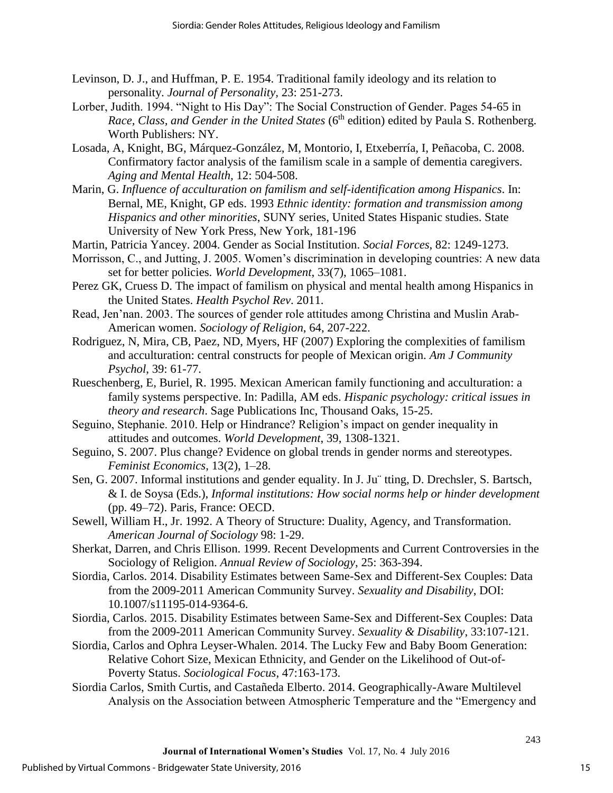- Levinson, D. J., and Huffman, P. E. 1954. Traditional family ideology and its relation to personality. *Journal of Personality,* 23: 251-273.
- Lorber, Judith. 1994. "Night to His Day": The Social Construction of Gender. Pages 54-65 in *Race, Class, and Gender in the United States* (6<sup>th</sup> edition) edited by Paula S. Rothenberg. Worth Publishers: NY.
- Losada, A, Knight, BG, Márquez-González, M, Montorio, I, Etxeberría, I, Peñacoba, C. 2008. Confirmatory factor analysis of the familism scale in a sample of dementia caregivers. *Aging and Mental Health,* 12: 504-508.
- Marin, G. *Influence of acculturation on familism and self-identification among Hispanics*. In: Bernal, ME, Knight, GP eds. 1993 *Ethnic identity: formation and transmission among Hispanics and other minorities*, SUNY series, United States Hispanic studies. State University of New York Press, New York, 181-196
- Martin, Patricia Yancey. 2004. Gender as Social Institution. *Social Forces*, 82: 1249-1273.
- Morrisson, C., and Jutting, J. 2005. Women's discrimination in developing countries: A new data set for better policies. *World Development*, 33(7), 1065–1081.
- Perez GK, Cruess D. The impact of familism on physical and mental health among Hispanics in the United States. *Health Psychol Rev*. 2011.
- Read, Jen'nan. 2003. The sources of gender role attitudes among Christina and Muslin Arab-American women. *Sociology of Religion*, 64, 207-222.
- Rodriguez, N, Mira, CB, Paez, ND, Myers, HF (2007) Exploring the complexities of familism and acculturation: central constructs for people of Mexican origin. *Am J Community Psychol*, 39: 61-77.
- Rueschenberg, E, Buriel, R. 1995. Mexican American family functioning and acculturation: a family systems perspective. In: Padilla, AM eds. *Hispanic psychology: critical issues in theory and research*. Sage Publications Inc, Thousand Oaks, 15-25.
- Seguino, Stephanie. 2010. Help or Hindrance? Religion's impact on gender inequality in attitudes and outcomes. *World Development*, 39, 1308-1321.
- Seguino, S. 2007. Plus change? Evidence on global trends in gender norms and stereotypes. *Feminist Economics*, 13(2), 1–28.
- Sen, G. 2007. Informal institutions and gender equality. In J. Ju¨ tting, D. Drechsler, S. Bartsch, & I. de Soysa (Eds.), *Informal institutions: How social norms help or hinder development* (pp. 49–72). Paris, France: OECD.
- Sewell, William H., Jr. 1992. A Theory of Structure: Duality, Agency, and Transformation. *American Journal of Sociology* 98: 1-29.
- Sherkat, Darren, and Chris Ellison. 1999. Recent Developments and Current Controversies in the Sociology of Religion. *Annual Review of Sociology*, 25: 363-394.
- Siordia, Carlos. 2014. Disability Estimates between Same-Sex and Different-Sex Couples: Data from the 2009-2011 American Community Survey. *Sexuality and Disability*, DOI: 10.1007/s11195-014-9364-6.
- Siordia, Carlos. 2015. Disability Estimates between Same-Sex and Different-Sex Couples: Data from the 2009-2011 American Community Survey. *Sexuality & Disability*, 33:107-121.
- Siordia, Carlos and Ophra Leyser-Whalen. 2014. The Lucky Few and Baby Boom Generation: Relative Cohort Size, Mexican Ethnicity, and Gender on the Likelihood of Out-of-Poverty Status. *Sociological Focus*, 47:163-173.
- Siordia Carlos, Smith Curtis, and Castañeda Elberto. 2014. Geographically-Aware Multilevel Analysis on the Association between Atmospheric Temperature and the "Emergency and